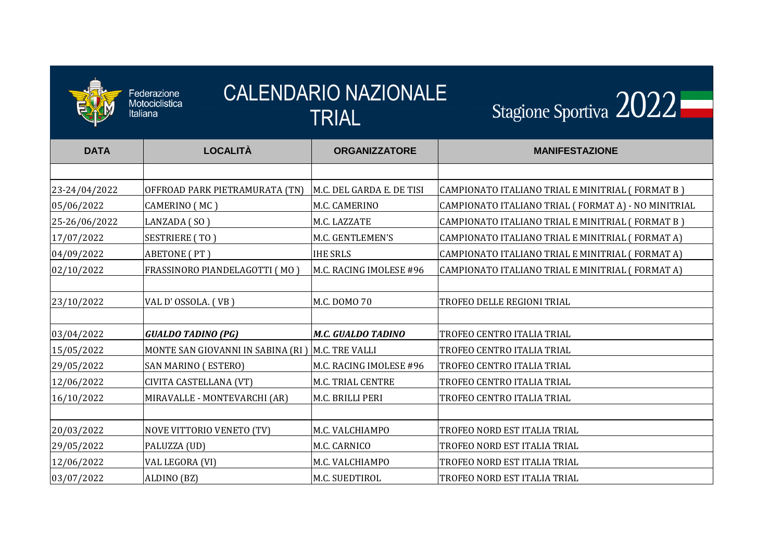

| <b>CALENDARIO NAZIONALE</b><br>Federazione<br>Motociclistica<br>Italiana<br>TRIAL |                                                     |                           | Stagione Sportiva 2022                               |  |
|-----------------------------------------------------------------------------------|-----------------------------------------------------|---------------------------|------------------------------------------------------|--|
| <b>DATA</b>                                                                       | <b>LOCALITÀ</b>                                     | <b>ORGANIZZATORE</b>      | <b>MANIFESTAZIONE</b>                                |  |
|                                                                                   |                                                     |                           |                                                      |  |
| 23-24/04/2022                                                                     | OFFROAD PARK PIETRAMURATA (TN)                      | M.C. DEL GARDA E. DE TISI | CAMPIONATO ITALIANO TRIAL E MINITRIAL ( FORMAT B )   |  |
| 05/06/2022                                                                        | CAMERINO (MC)                                       | M.C. CAMERINO             | CAMPIONATO ITALIANO TRIAL ( FORMAT A) - NO MINITRIAL |  |
| 25-26/06/2022                                                                     | LANZADA (SO)                                        | M.C. LAZZATE              | CAMPIONATO ITALIANO TRIAL E MINITRIAL (FORMAT B)     |  |
| 17/07/2022                                                                        | <b>SESTRIERE (TO)</b>                               | M.C. GENTLEMEN'S          | CAMPIONATO ITALIANO TRIAL E MINITRIAL ( FORMAT A)    |  |
| 04/09/2022                                                                        | ABETONE (PT)                                        | <b>IHE SRLS</b>           | CAMPIONATO ITALIANO TRIAL E MINITRIAL (FORMAT A)     |  |
| 02/10/2022                                                                        | FRASSINORO PIANDELAGOTTI (MO)                       | M.C. RACING IMOLESE #96   | CAMPIONATO ITALIANO TRIAL E MINITRIAL (FORMAT A)     |  |
| 23/10/2022                                                                        | VAL D'OSSOLA. (VB)                                  | M.C. DOMO 70              | TROFEO DELLE REGIONI TRIAL                           |  |
| 03/04/2022                                                                        | <b>GUALDO TADINO (PG)</b>                           | M.C. GUALDO TADINO        | TROFEO CENTRO ITALIA TRIAL                           |  |
| 15/05/2022                                                                        | MONTE SAN GIOVANNI IN SABINA (RI )   M.C. TRE VALLI |                           | TROFEO CENTRO ITALIA TRIAL                           |  |
| 29/05/2022                                                                        | <b>SAN MARINO (ESTERO)</b>                          | M.C. RACING IMOLESE #96   | TROFEO CENTRO ITALIA TRIAL                           |  |
| 12/06/2022                                                                        | CIVITA CASTELLANA (VT)                              | M.C. TRIAL CENTRE         | TROFEO CENTRO ITALIA TRIAL                           |  |
| 16/10/2022                                                                        | MIRAVALLE - MONTEVARCHI (AR)                        | M.C. BRILLI PERI          | TROFEO CENTRO ITALIA TRIAL                           |  |
|                                                                                   |                                                     |                           |                                                      |  |
| 20/03/2022                                                                        | NOVE VITTORIO VENETO (TV)                           | M.C. VALCHIAMPO           | TROFEO NORD EST ITALIA TRIAL                         |  |
| 29/05/2022                                                                        | PALUZZA (UD)                                        | M.C. CARNICO              | TROFEO NORD EST ITALIA TRIAL                         |  |
| 12/06/2022                                                                        | VAL LEGORA (VI)                                     | M.C. VALCHIAMPO           | TROFEO NORD EST ITALIA TRIAL                         |  |
| 03/07/2022                                                                        | ALDINO (BZ)                                         | M.C. SUEDTIROL            | TROFEO NORD EST ITALIA TRIAL                         |  |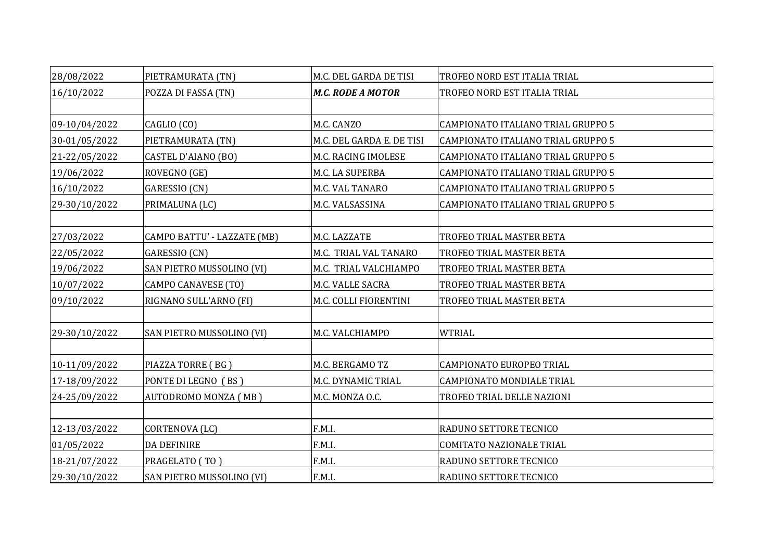| 28/08/2022    | PIETRAMURATA (TN)           | M.C. DEL GARDA DE TISI    | TROFEO NORD EST ITALIA TRIAL       |
|---------------|-----------------------------|---------------------------|------------------------------------|
| 16/10/2022    | POZZA DI FASSA (TN)         | <b>M.C. RODE A MOTOR</b>  | TROFEO NORD EST ITALIA TRIAL       |
|               |                             |                           |                                    |
| 09-10/04/2022 | CAGLIO (CO)                 | M.C. CANZO                | CAMPIONATO ITALIANO TRIAL GRUPPO 5 |
| 30-01/05/2022 | PIETRAMURATA (TN)           | M.C. DEL GARDA E. DE TISI | CAMPIONATO ITALIANO TRIAL GRUPPO 5 |
| 21-22/05/2022 | CASTEL D'AIANO (BO)         | M.C. RACING IMOLESE       | CAMPIONATO ITALIANO TRIAL GRUPPO 5 |
| 19/06/2022    | ROVEGNO (GE)                | M.C. LA SUPERBA           | CAMPIONATO ITALIANO TRIAL GRUPPO 5 |
| 16/10/2022    | GARESSIO (CN)               | M.C. VAL TANARO           | CAMPIONATO ITALIANO TRIAL GRUPPO 5 |
| 29-30/10/2022 | PRIMALUNA (LC)              | M.C. VALSASSINA           | CAMPIONATO ITALIANO TRIAL GRUPPO 5 |
|               |                             |                           |                                    |
| 27/03/2022    | CAMPO BATTU' - LAZZATE (MB) | M.C. LAZZATE              | TROFEO TRIAL MASTER BETA           |
| 22/05/2022    | GARESSIO (CN)               | M.C. TRIAL VAL TANARO     | TROFEO TRIAL MASTER BETA           |
| 19/06/2022    | SAN PIETRO MUSSOLINO (VI)   | M.C. TRIAL VALCHIAMPO     | TROFEO TRIAL MASTER BETA           |
| 10/07/2022    | <b>CAMPO CANAVESE (TO)</b>  | M.C. VALLE SACRA          | TROFEO TRIAL MASTER BETA           |
| 09/10/2022    | RIGNANO SULL'ARNO (FI)      | M.C. COLLI FIORENTINI     | TROFEO TRIAL MASTER BETA           |
|               |                             |                           |                                    |
| 29-30/10/2022 | SAN PIETRO MUSSOLINO (VI)   | M.C. VALCHIAMPO           | <b>WTRIAL</b>                      |
|               |                             |                           |                                    |
| 10-11/09/2022 | PIAZZA TORRE (BG)           | M.C. BERGAMO TZ           | CAMPIONATO EUROPEO TRIAL           |
| 17-18/09/2022 | PONTE DI LEGNO (BS)         | M.C. DYNAMIC TRIAL        | CAMPIONATO MONDIALE TRIAL          |
| 24-25/09/2022 | AUTODROMO MONZA (MB)        | M.C. MONZA O.C.           | TROFEO TRIAL DELLE NAZIONI         |
|               |                             |                           |                                    |
| 12-13/03/2022 | CORTENOVA (LC)              | F.M.I.                    | RADUNO SETTORE TECNICO             |
| 01/05/2022    | DA DEFINIRE                 | F.M.I.                    | COMITATO NAZIONALE TRIAL           |
| 18-21/07/2022 | PRAGELATO (TO)              | F.M.I.                    | RADUNO SETTORE TECNICO             |
| 29-30/10/2022 | SAN PIETRO MUSSOLINO (VI)   | F.M.I.                    | RADUNO SETTORE TECNICO             |

| RUPPO 5 |
|---------|
| RUPPO 5 |
| RUPPO 5 |
| RUPPO 5 |
| RUPPO 5 |
| RUPPO 5 |
|         |
|         |
|         |
|         |
|         |
|         |
|         |
|         |
|         |
|         |
|         |
|         |
|         |
|         |
|         |
|         |
|         |
|         |